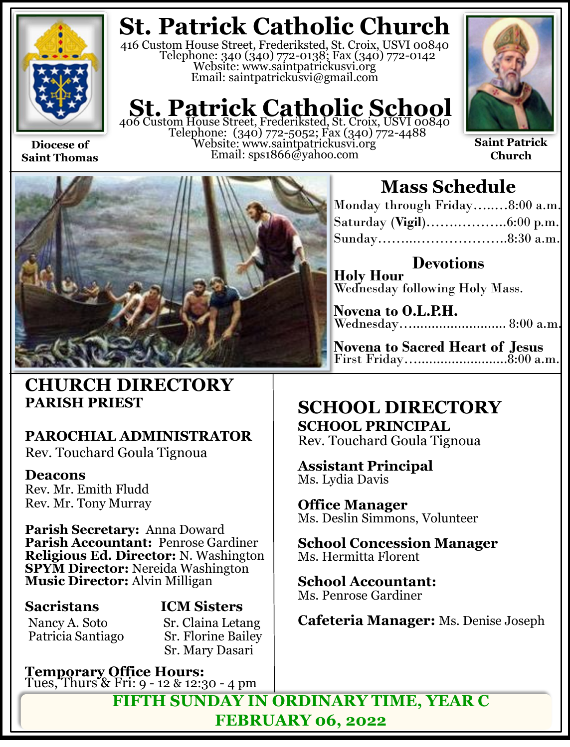

**Diocese of Saint Thomas**

## **St. Patrick Catholic Church**

416 Custom House Street, Frederiksted, St. Croix, USVI 00840 Telephone: 340 (340) 772-0138; Fax (340) 772-0142 Website: www.saintpatrickusvi.org Email: saintpatrickusvi@gmail.com

## **St. Patrick Catholic School**<br>406 Custom House Street, Frederiksted, St. Croix, USVI 00840

Telephone: (340) 772-5052; Fax (340) 772-4488 Website: www.saintpatrickusvi.org Email: sps1866@yahoo.com



**Saint Patrick Church**



### **CHURCH DIRECTORY PARISH PRIEST**

### **PAROCHIAL ADMINISTRATOR**

Rev. Touchard Goula Tignoua

### **Deacons**

Rev. Mr. Emith Fludd Rev. Mr. Tony Murray

**Parish Secretary:** Anna Doward **Parish Accountant:** Penrose Gardiner **Religious Ed. Director:** N. Washington **SPYM Director:** Nereida Washington **Music Director:** Alvin Milligan

Nancy A. Soto Sr. Claina Letang<br>Patricia Santiago Sr. Florine Bailey

## **Sacristans ICM Sisters**

**Sr. Florine Bailey** Sr. Mary Dasari

**Temporary Office Hours:**  Tues, Thurs & Fri: 9 - 12 & 12:30 - 4 pm

## **Mass Schedule**

| Monday through Friday8:00 a.m. |  |
|--------------------------------|--|
|                                |  |
|                                |  |

**Devotions Holy Hour**  Wednesday following Holy Mass.

**Novena to O.L.P.H.** Wednesday…......................... 8:00 a.m.

**Novena to Sacred Heart of Jesus** First Friday…........................8:00 a.m.

### **SCHOOL DIRECTORY SCHOOL PRINCIPAL**

Rev. Touchard Goula Tignoua

**Assistant Principal** Ms. Lydia Davis

**Office Manager** Ms. Deslin Simmons, Volunteer

**School Concession Manager** Ms. Hermitta Florent

**School Accountant:**  Ms. Penrose Gardiner

**Cafeteria Manager:** Ms. Denise Joseph

**FIFTH SUNDAY IN ORDINARY TIME, YEAR C FEBRUARY 06, 2022**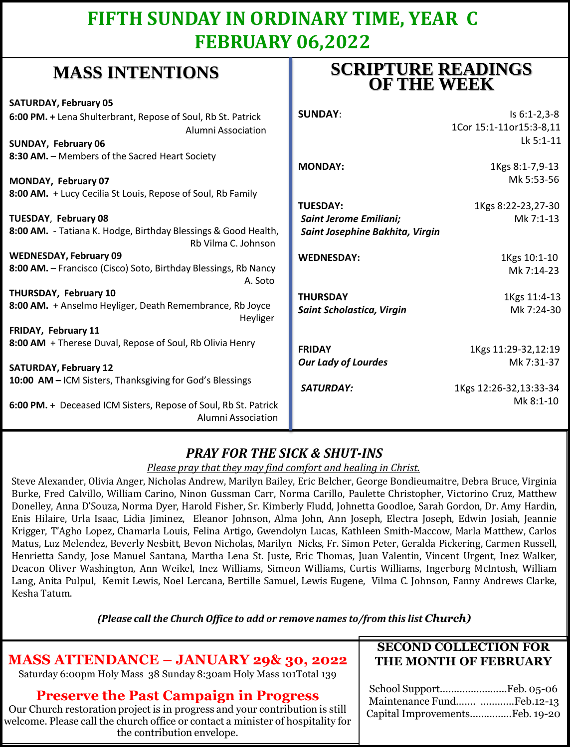## **FIFTH SUNDAY IN ORDINARY TIME, YEAR C FEBRUARY 06,2022**

## **MASS INTENTIONS**

| when hit has the control                                                              | <b>OF THE WEEK</b>              |                         |
|---------------------------------------------------------------------------------------|---------------------------------|-------------------------|
| <b>SATURDAY, February 05</b>                                                          |                                 |                         |
| 6:00 PM. + Lena Shulterbrant, Repose of Soul, Rb St. Patrick                          | <b>SUNDAY:</b>                  | $Is 6:1-2,3-8$          |
| Alumni Association                                                                    |                                 | 1Cor 15:1-11or15:3-8,11 |
| SUNDAY, February 06                                                                   |                                 | Lk 5:1-11               |
| 8:30 AM. - Members of the Sacred Heart Society                                        |                                 |                         |
|                                                                                       | <b>MONDAY:</b>                  | 1Kgs 8:1-7,9-13         |
| MONDAY, February 07                                                                   |                                 | Mk 5:53-56              |
| 8:00 AM. + Lucy Cecilia St Louis, Repose of Soul, Rb Family                           |                                 |                         |
|                                                                                       | <b>TUESDAY:</b>                 | 1Kgs 8:22-23,27-30      |
| <b>TUESDAY, February 08</b>                                                           | <b>Saint Jerome Emiliani;</b>   | Mk 7:1-13               |
| 8:00 AM. - Tatiana K. Hodge, Birthday Blessings & Good Health,<br>Rb Vilma C. Johnson | Saint Josephine Bakhita, Virgin |                         |
| <b>WEDNESDAY, February 09</b>                                                         | <b>WEDNESDAY:</b>               | 1Kgs 10:1-10            |
| 8:00 AM. - Francisco (Cisco) Soto, Birthday Blessings, Rb Nancy<br>A. Soto            |                                 | Mk 7:14-23              |
| THURSDAY, February 10                                                                 | <b>THURSDAY</b>                 | 1Kgs 11:4-13            |
| 8:00 AM. + Anselmo Heyliger, Death Remembrance, Rb Joyce<br>Heyliger                  | Saint Scholastica, Virgin       | Mk 7:24-30              |
| FRIDAY, February 11                                                                   |                                 |                         |
| 8:00 AM + Therese Duval, Repose of Soul, Rb Olivia Henry                              | <b>FRIDAY</b>                   | 1Kgs 11:29-32,12:19     |
|                                                                                       | <b>Our Lady of Lourdes</b>      | Mk 7:31-37              |
| <b>SATURDAY, February 12</b>                                                          |                                 |                         |
| 10:00 AM - ICM Sisters, Thanksgiving for God's Blessings                              | <b>SATURDAY:</b>                | 1Kgs 12:26-32,13:33-34  |
| 6:00 PM. + Deceased ICM Sisters, Repose of Soul, Rb St. Patrick<br>Alumni Association |                                 | Mk 8:1-10               |

### *PRAY FOR THE SICK & SHUT-INS*

#### *Please pray that they may find comfort and healing in Christ.*

Steve Alexander, Olivia Anger, Nicholas Andrew, Marilyn Bailey, Eric Belcher, George Bondieumaitre, Debra Bruce, Virginia Burke, Fred Calvillo, William Carino, Ninon Gussman Carr, Norma Carillo, Paulette Christopher, Victorino Cruz, Matthew Donelley, Anna D'Souza, Norma Dyer, Harold Fisher, Sr. Kimberly Fludd, Johnetta Goodloe, Sarah Gordon, Dr. Amy Hardin, Enis Hilaire, Urla Isaac, Lidia Jiminez, Eleanor Johnson, Alma John, Ann Joseph, Electra Joseph, Edwin Josiah, Jeannie Krigger, T'Agho Lopez, Chamarla Louis, Felina Artigo, Gwendolyn Lucas, Kathleen Smith-Maccow, Marla Matthew, Carlos Matus, Luz Melendez, Beverly Nesbitt, Bevon Nicholas, Marilyn Nicks, Fr. Simon Peter, Geralda Pickering, Carmen Russell, Henrietta Sandy, Jose Manuel Santana, Martha Lena St. Juste, Eric Thomas, Juan Valentin, Vincent Urgent, Inez Walker, Deacon Oliver Washington, Ann Weikel, Inez Williams, Simeon Williams, Curtis Williams, Ingerborg McIntosh, William Lang, Anita Pulpul, Kemit Lewis, Noel Lercana, Bertille Samuel, Lewis Eugene, Vilma C. Johnson, Fanny Andrews Clarke, Kesha Tatum.

*(Please call the Church Office to add or remove names to/from this list Church)*

### **MASS ATTENDANCE – JANUARY 29& 30, 2022**

Saturday 6:00pm Holy Mass 38 Sunday 8:30am Holy Mass 101Total 139

#### **Preserve the Past Campaign in Progress**

Our Church restoration project is in progress and your contribution is still welcome. Please call the church office or contact a minister of hospitality for the contribution envelope.

#### **SECOND COLLECTION FOR THE MONTH OF FEBRUARY**

**SCRIPTURE READINGS** 

| Maintenance Fund Feb.12-13     |  |
|--------------------------------|--|
| Capital ImprovementsFeb. 19-20 |  |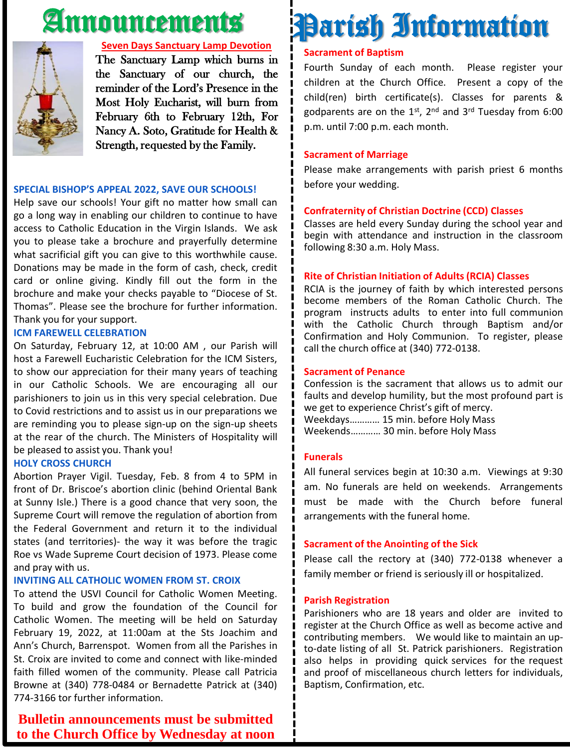## Announcements



#### **Seven Days Sanctuary Lamp Devotion**

The Sanctuary Lamp which burns in the Sanctuary of our church, the reminder of the Lord's Presence in the Most Holy Eucharist, will burn from February 6th to February 12th, For Nancy A. Soto, Gratitude for Health & Strength, requested by the Family.

#### **SPECIAL BISHOP'S APPEAL 2022, SAVE OUR SCHOOLS!**

Help save our schools! Your gift no matter how small can go a long way in enabling our children to continue to have access to Catholic Education in the Virgin Islands. We ask you to please take a brochure and prayerfully determine what sacrificial gift you can give to this worthwhile cause. Donations may be made in the form of cash, check, credit card or online giving. Kindly fill out the form in the brochure and make your checks payable to "Diocese of St. Thomas". Please see the brochure for further information. Thank you for your support.

#### **ICM FAREWELL CELEBRATION**

On Saturday, February 12, at 10:00 AM , our Parish will host a Farewell Eucharistic Celebration for the ICM Sisters, to show our appreciation for their many years of teaching in our Catholic Schools. We are encouraging all our parishioners to join us in this very special celebration. Due to Covid restrictions and to assist us in our preparations we are reminding you to please sign-up on the sign-up sheets at the rear of the church. The Ministers of Hospitality will be pleased to assist you. Thank you!

#### **HOLY CROSS CHURCH**

Abortion Prayer Vigil. Tuesday, Feb. 8 from 4 to 5PM in front of Dr. Briscoe's abortion clinic (behind Oriental Bank at Sunny Isle.) There is a good chance that very soon, the Supreme Court will remove the regulation of abortion from the Federal Government and return it to the individual states (and territories)- the way it was before the tragic Roe vs Wade Supreme Court decision of 1973. Please come and pray with us.

#### **INVITING ALL CATHOLIC WOMEN FROM ST. CROIX**

To attend the USVI Council for Catholic Women Meeting. To build and grow the foundation of the Council for Catholic Women. The meeting will be held on Saturday February 19, 2022, at 11:00am at the Sts Joachim and Ann's Church, Barrenspot. Women from all the Parishes in St. Croix are invited to come and connect with like-minded faith filled women of the community. Please call Patricia Browne at (340) 778-0484 or Bernadette Patrick at (340) 774-3166 tor further information.

#### **Bulletin announcements must be submitted to the Church Office by Wednesday at noon**

# Parish Information

#### **Sacrament of Baptism**

Fourth Sunday of each month. Please register your children at the Church Office. Present a copy of the child(ren) birth certificate(s). Classes for parents & godparents are on the 1st, 2<sup>nd</sup> and 3<sup>rd</sup> Tuesday from 6:00 p.m. until 7:00 p.m. each month.

#### **Sacrament of Marriage**

Please make arrangements with parish priest 6 months before your wedding.

#### **Confraternity of Christian Doctrine (CCD) Classes**

Classes are held every Sunday during the school year and begin with attendance and instruction in the classroom following 8:30 a.m. Holy Mass.

#### **Rite of Christian Initiation of Adults (RCIA) Classes**

RCIA is the journey of faith by which interested persons become members of the Roman Catholic Church. The program instructs adults to enter into full communion with the Catholic Church through Baptism and/or Confirmation and Holy Communion. To register, please call the church office at (340) 772-0138.

#### **Sacrament of Penance**

Confession is the sacrament that allows us to admit our faults and develop humility, but the most profound part is we get to experience Christ's gift of mercy. Weekdays………… 15 min. before Holy Mass Weekends………… 30 min. before Holy Mass

#### **Funerals**

All funeral services begin at 10:30 a.m. Viewings at 9:30 am. No funerals are held on weekends. Arrangements must be made with the Church before funeral arrangements with the funeral home.

#### **Sacrament of the Anointing of the Sick**

Please call the rectory at (340) 772-0138 whenever a family member or friend is seriously ill or hospitalized.

#### **Parish Registration**

Parishioners who are 18 years and older are invited to register at the Church Office as well as become active and contributing members. We would like to maintain an upto-date listing of all St. Patrick parishioners. Registration also helps in providing quick services for the request and proof of miscellaneous church letters for individuals, Baptism, Confirmation, etc.